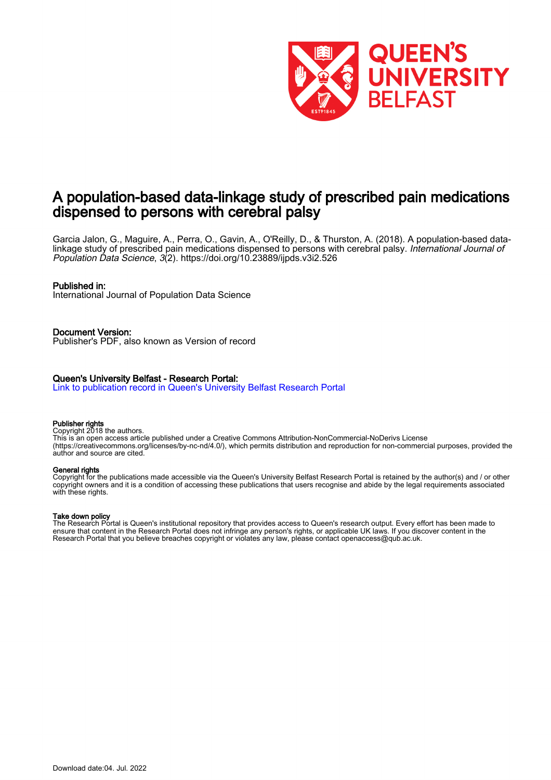

## A population-based data-linkage study of prescribed pain medications dispensed to persons with cerebral palsy

Garcia Jalon, G., Maguire, A., Perra, O., Gavin, A., O'Reilly, D., & Thurston, A. (2018). A population-based datalinkage study of prescribed pain medications dispensed to persons with cerebral palsy. International Journal of Population Data Science, 3(2).<https://doi.org/10.23889/ijpds.v3i2.526>

### Published in:

International Journal of Population Data Science

Document Version: Publisher's PDF, also known as Version of record

### Queen's University Belfast - Research Portal:

[Link to publication record in Queen's University Belfast Research Portal](https://pure.qub.ac.uk/en/publications/db3f9fe1-10bf-4497-87af-bfc1353aeb5e)

### Publisher rights

Copyright 2018 the authors.

This is an open access article published under a Creative Commons Attribution-NonCommercial-NoDerivs License (https://creativecommons.org/licenses/by-nc-nd/4.0/), which permits distribution and reproduction for non-commercial purposes, provided the author and source are cited.

#### General rights

Copyright for the publications made accessible via the Queen's University Belfast Research Portal is retained by the author(s) and / or other copyright owners and it is a condition of accessing these publications that users recognise and abide by the legal requirements associated with these rights.

### Take down policy

The Research Portal is Queen's institutional repository that provides access to Queen's research output. Every effort has been made to ensure that content in the Research Portal does not infringe any person's rights, or applicable UK laws. If you discover content in the Research Portal that you believe breaches copyright or violates any law, please contact openaccess@qub.ac.uk.